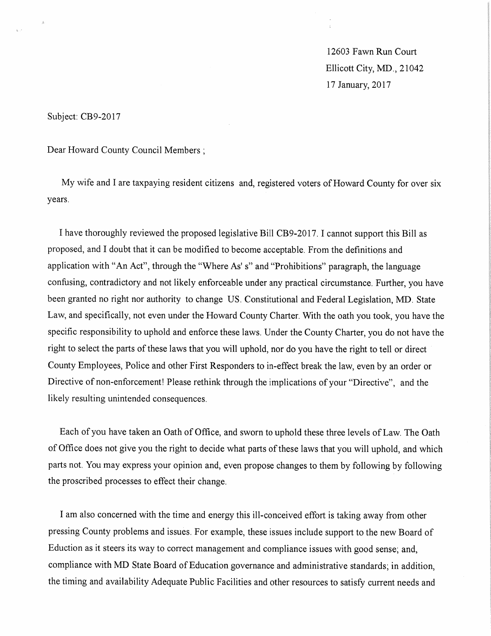12603 Fawn Run Court Ellicott City, MD, 21042 17 January, 2017

Subject: CB9-2017

Dear Howard County Council Members ;

My wife and I are taxpaying resident citizens and, registered voters of Howard County for over six years.

I have thoroughly reviewed the proposed legislative Bill CB9-2017.1 cannot support this Bill as proposed, and I doubt that it can be modified to become acceptable. From the definitions and application with "An Act", through the "Where As' s" and "Prohibitions" paragraph, the language confusing, contradictory and not likely enforceable under any practical circumstance. Further, you have been granted no right nor authority to change US. Constitutional and Federal Legislation, MD. State Law, and specifically, not even under the Howard County Charter. With the oath you took, you have the specific responsibility to uphold and enforce these laws. Under the County Charter, you do not have the right to select the parts of these laws that you will uphold, nor do you have the right to tell or direct County Employees, Police and other First Responders to in-effect break the law, even by an order or Directive of non-enforcement! Please rethink through the implications of your "Directive", and the likely resulting unintended consequences.

Each of you have taken an Oath of Office, and sworn to uphold these three levels of Law, The Oath of Office does not give you the right to decide what parts of these laws that you will uphold, and which parts not. You may express your opinion and, even propose changes to them by following by following the proscribed processes to effect their change.

I am also concerned with the time and energy this ill-conceived effort is taking away from other pressing County problems and issues. For example, these issues include support to the new Board of Eduction as it steers its way to correct management and compliance issues with good sense; and, compliance with MD State Board of Education governance and administrative standards; in addition, the timing and availability Adequate Public Facilities and other resources to satisfy current needs and